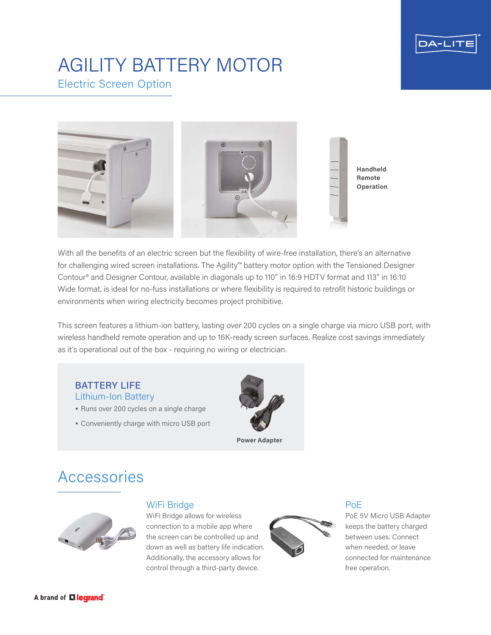

## AGILITY BATTERY MOTOR Electric Screen Option



With all the benefits of an electric screen but the flexibility of wire-free installation, there's an alternative for challenging wired screen installations. The Agility™ battery motor option with the Tensioned Designer Contour® and Designer Contour, available in diagonals up to 110" in 16:9 HDTV format and 113" in 16:10 Wide format, is ideal for no-fuss installations or where flexibility is required to retrofit historic buildings or environments when wiring electricity becomes project prohibitive.

This screen features a lithium-ion battery, lasting over 200 cycles on a single charge via micro USB port, with wireless handheld remote operation and up to 16K-ready screen surfaces. Realize cost savings immediately as it's operational out of the box - requiring no wiring or electrician.

### BATTERY LIFE Lithium-Ion Battery

- Runs over 200 cycles on a single charge
- Conveniently charge with micro USB port



# Accessories



## WiFi Bridge

WiFi Bridge allows for wireless connection to a mobile app where the screen can be controlled up and down as well as battery life indication. Additionally, the accessory allows for control through a third-party device.



## PoE

PoE 5V Micro USB Adapter keeps the battery charged between uses. Connect when needed, or leave connected for maintenance free operation.